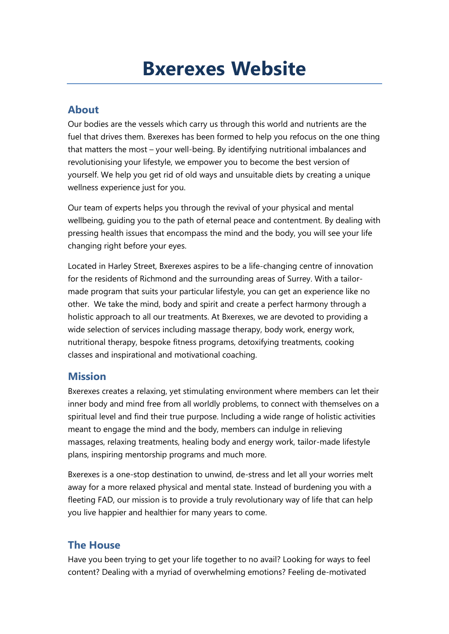# **Bxerexes Website**

# **About**

Our bodies are the vessels which carry us through this world and nutrients are the fuel that drives them. Bxerexes has been formed to help you refocus on the one thing that matters the most – your well-being. By identifying nutritional imbalances and revolutionising your lifestyle, we empower you to become the best version of yourself. We help you get rid of old ways and unsuitable diets by creating a unique wellness experience just for you.

Our team of experts helps you through the revival of your physical and mental wellbeing, guiding you to the path of eternal peace and contentment. By dealing with pressing health issues that encompass the mind and the body, you will see your life changing right before your eyes.

Located in Harley Street, Bxerexes aspires to be a life-changing centre of innovation for the residents of Richmond and the surrounding areas of Surrey. With a tailormade program that suits your particular lifestyle, you can get an experience like no other. We take the mind, body and spirit and create a perfect harmony through a holistic approach to all our treatments. At Bxerexes, we are devoted to providing a wide selection of services including massage therapy, body work, energy work, nutritional therapy, bespoke fitness programs, detoxifying treatments, cooking classes and inspirational and motivational coaching.

# **Mission**

Bxerexes creates a relaxing, yet stimulating environment where members can let their inner body and mind free from all worldly problems, to connect with themselves on a spiritual level and find their true purpose. Including a wide range of holistic activities meant to engage the mind and the body, members can indulge in relieving massages, relaxing treatments, healing body and energy work, tailor-made lifestyle plans, inspiring mentorship programs and much more.

Bxerexes is a one-stop destination to unwind, de-stress and let all your worries melt away for a more relaxed physical and mental state. Instead of burdening you with a fleeting FAD, our mission is to provide a truly revolutionary way of life that can help you live happier and healthier for many years to come.

# **The House**

Have you been trying to get your life together to no avail? Looking for ways to feel content? Dealing with a myriad of overwhelming emotions? Feeling de-motivated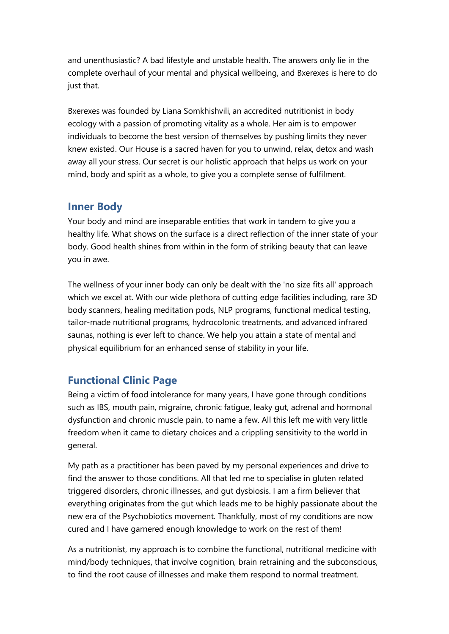and unenthusiastic? A bad lifestyle and unstable health. The answers only lie in the complete overhaul of your mental and physical wellbeing, and Bxerexes is here to do just that.

Bxerexes was founded by Liana Somkhishvili, an accredited nutritionist in body ecology with a passion of promoting vitality as a whole. Her aim is to empower individuals to become the best version of themselves by pushing limits they never knew existed. Our House is a sacred haven for you to unwind, relax, detox and wash away all your stress. Our secret is our holistic approach that helps us work on your mind, body and spirit as a whole, to give you a complete sense of fulfilment.

# **Inner Body**

Your body and mind are inseparable entities that work in tandem to give you a healthy life. What shows on the surface is a direct reflection of the inner state of your body. Good health shines from within in the form of striking beauty that can leave you in awe.

The wellness of your inner body can only be dealt with the 'no size fits all' approach which we excel at. With our wide plethora of cutting edge facilities including, rare 3D body scanners, healing meditation pods, NLP programs, functional medical testing, tailor-made nutritional programs, hydrocolonic treatments, and advanced infrared saunas, nothing is ever left to chance. We help you attain a state of mental and physical equilibrium for an enhanced sense of stability in your life.

# **Functional Clinic Page**

Being a victim of food intolerance for many years, I have gone through conditions such as IBS, mouth pain, migraine, chronic fatigue, leaky gut, adrenal and hormonal dysfunction and chronic muscle pain, to name a few. All this left me with very little freedom when it came to dietary choices and a crippling sensitivity to the world in general.

My path as a practitioner has been paved by my personal experiences and drive to find the answer to those conditions. All that led me to specialise in gluten related triggered disorders, chronic illnesses, and gut dysbiosis. I am a firm believer that everything originates from the gut which leads me to be highly passionate about the new era of the Psychobiotics movement. Thankfully, most of my conditions are now cured and I have garnered enough knowledge to work on the rest of them!

As a nutritionist, my approach is to combine the functional, nutritional medicine with mind/body techniques, that involve cognition, brain retraining and the subconscious, to find the root cause of illnesses and make them respond to normal treatment.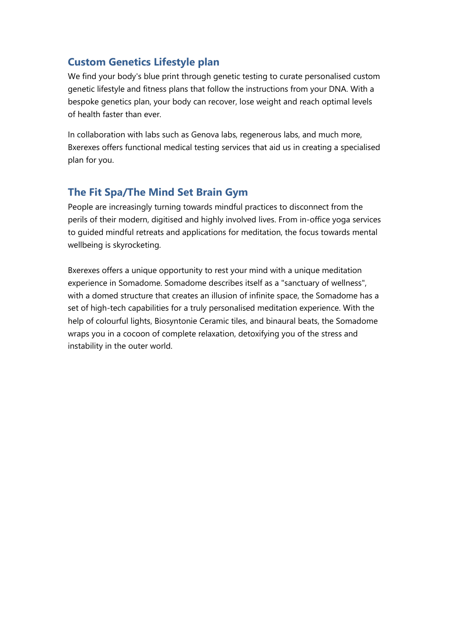# **Custom Genetics Lifestyle plan**

We find your body's blue print through genetic testing to curate personalised custom genetic lifestyle and fitness plans that follow the instructions from your DNA. With a bespoke genetics plan, your body can recover, lose weight and reach optimal levels of health faster than ever.

In collaboration with labs such as Genova labs, regenerous labs, and much more, Bxerexes offers functional medical testing services that aid us in creating a specialised plan for you.

# **The Fit Spa/The Mind Set Brain Gym**

People are increasingly turning towards mindful practices to disconnect from the perils of their modern, digitised and highly involved lives. From in-office yoga services to guided mindful retreats and applications for meditation, the focus towards mental wellbeing is skyrocketing.

Bxerexes offers a unique opportunity to rest your mind with a unique meditation experience in Somadome. Somadome describes itself as a "sanctuary of wellness", with a domed structure that creates an illusion of infinite space, the Somadome has a set of high-tech capabilities for a truly personalised meditation experience. With the help of colourful lights, Biosyntonie Ceramic tiles, and binaural beats, the Somadome wraps you in a cocoon of complete relaxation, detoxifying you of the stress and instability in the outer world.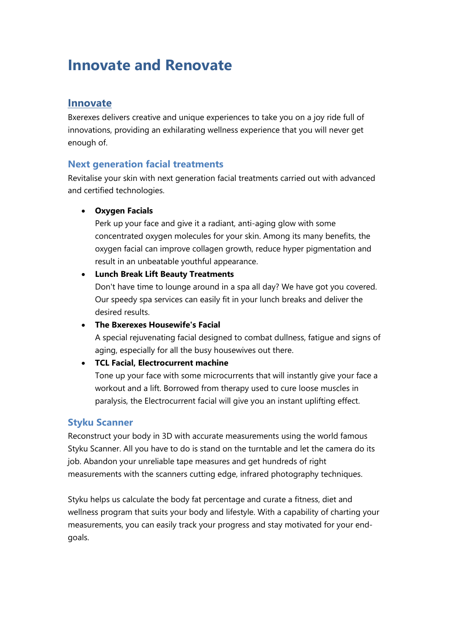# **Innovate and Renovate**

# **Innovate**

Bxerexes delivers creative and unique experiences to take you on a joy ride full of innovations, providing an exhilarating wellness experience that you will never get enough of.

# **Next generation facial treatments**

Revitalise your skin with next generation facial treatments carried out with advanced and certified technologies.

#### • **Oxygen Facials**

Perk up your face and give it a radiant, anti-aging glow with some concentrated oxygen molecules for your skin. Among its many benefits, the oxygen facial can improve collagen growth, reduce hyper pigmentation and result in an unbeatable youthful appearance.

#### • **Lunch Break Lift Beauty Treatments**

Don't have time to lounge around in a spa all day? We have got you covered. Our speedy spa services can easily fit in your lunch breaks and deliver the desired results.

#### • **The Bxerexes Housewife's Facial**

A special rejuvenating facial designed to combat dullness, fatigue and signs of aging, especially for all the busy housewives out there.

#### • **TCL Facial, Electrocurrent machine**

Tone up your face with some microcurrents that will instantly give your face a workout and a lift. Borrowed from therapy used to cure loose muscles in paralysis, the Electrocurrent facial will give you an instant uplifting effect.

# **Styku Scanner**

Reconstruct your body in 3D with accurate measurements using the world famous Styku Scanner. All you have to do is stand on the turntable and let the camera do its job. Abandon your unreliable tape measures and get hundreds of right measurements with the scanners cutting edge, infrared photography techniques.

Styku helps us calculate the body fat percentage and curate a fitness, diet and wellness program that suits your body and lifestyle. With a capability of charting your measurements, you can easily track your progress and stay motivated for your endgoals.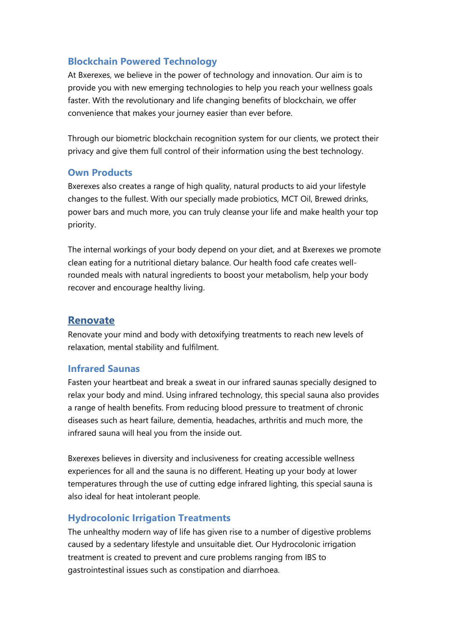# **Blockchain Powered Technology**

At Bxerexes, we believe in the power of technology and innovation. Our aim is to provide you with new emerging technologies to help you reach your wellness goals faster. With the revolutionary and life changing benefits of blockchain, we offer convenience that makes your journey easier than ever before.

Through our biometric blockchain recognition system for our clients, we protect their privacy and give them full control of their information using the best technology.

#### **Own Products**

Bxerexes also creates a range of high quality, natural products to aid your lifestyle changes to the fullest. With our specially made probiotics, MCT Oil, Brewed drinks, power bars and much more, you can truly cleanse your life and make health your top priority.

The internal workings of your body depend on your diet, and at Bxerexes we promote clean eating for a nutritional dietary balance. Our health food cafe creates wellrounded meals with natural ingredients to boost your metabolism, help your body recover and encourage healthy living.

# **Renovate**

Renovate your mind and body with detoxifying treatments to reach new levels of relaxation, mental stability and fulfilment.

# **Infrared Saunas**

Fasten your heartbeat and break a sweat in our infrared saunas specially designed to relax your body and mind. Using infrared technology, this special sauna also provides a range of health benefits. From reducing blood pressure to treatment of chronic diseases such as heart failure, dementia, headaches, arthritis and much more, the infrared sauna will heal you from the inside out.

Bxerexes believes in diversity and inclusiveness for creating accessible wellness experiences for all and the sauna is no different. Heating up your body at lower temperatures through the use of cutting edge infrared lighting, this special sauna is also ideal for heat intolerant people.

# **Hydrocolonic Irrigation Treatments**

The unhealthy modern way of life has given rise to a number of digestive problems caused by a sedentary lifestyle and unsuitable diet. Our Hydrocolonic irrigation treatment is created to prevent and cure problems ranging from IBS to gastrointestinal issues such as constipation and diarrhoea.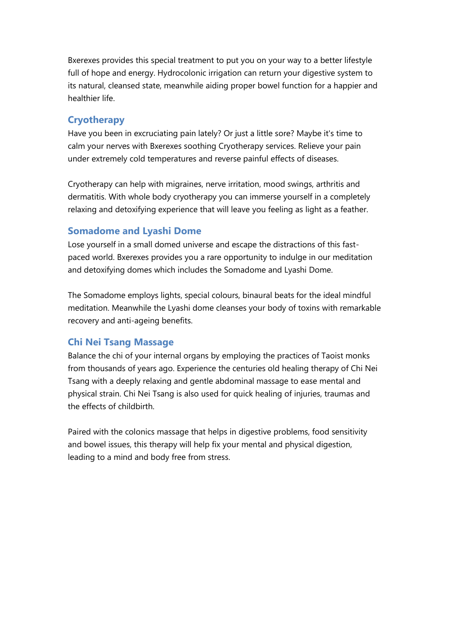Bxerexes provides this special treatment to put you on your way to a better lifestyle full of hope and energy. Hydrocolonic irrigation can return your digestive system to its natural, cleansed state, meanwhile aiding proper bowel function for a happier and healthier life.

#### **Cryotherapy**

Have you been in excruciating pain lately? Or just a little sore? Maybe it's time to calm your nerves with Bxerexes soothing Cryotherapy services. Relieve your pain under extremely cold temperatures and reverse painful effects of diseases.

Cryotherapy can help with migraines, nerve irritation, mood swings, arthritis and dermatitis. With whole body cryotherapy you can immerse yourself in a completely relaxing and detoxifying experience that will leave you feeling as light as a feather.

#### **Somadome and Lyashi Dome**

Lose yourself in a small domed universe and escape the distractions of this fastpaced world. Bxerexes provides you a rare opportunity to indulge in our meditation and detoxifying domes which includes the Somadome and Lyashi Dome.

The Somadome employs lights, special colours, binaural beats for the ideal mindful meditation. Meanwhile the Lyashi dome cleanses your body of toxins with remarkable recovery and anti-ageing benefits.

#### **Chi Nei Tsang Massage**

Balance the chi of your internal organs by employing the practices of Taoist monks from thousands of years ago. Experience the centuries old healing therapy of Chi Nei Tsang with a deeply relaxing and gentle abdominal massage to ease mental and physical strain. Chi Nei Tsang is also used for quick healing of injuries, traumas and the effects of childbirth.

Paired with the colonics massage that helps in digestive problems, food sensitivity and bowel issues, this therapy will help fix your mental and physical digestion, leading to a mind and body free from stress.